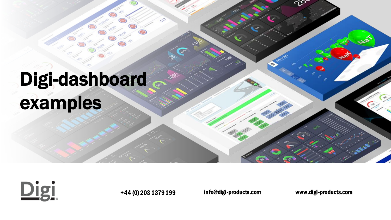# Digi-dashboard examples



+44 (0) 203 1379 199 info@digi-products.com www.digi-products.com

ഗ്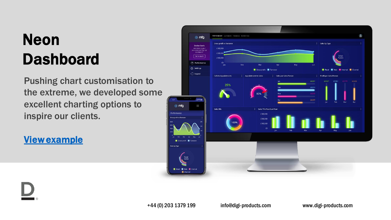### Neon Dashboard

Pushing chart customisation to the extreme, we developed some excellent charting options to inspire our clients.

[View example](https://www.digi-kpi.com/dashboard/) 



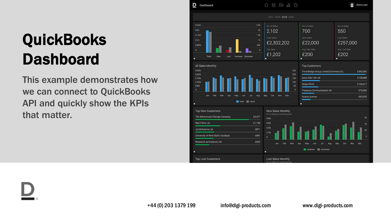### **QuickBooks** Dashboard

This example demonstrates how we can connect to QuickBooks API and quickly show the KPIs that matter.



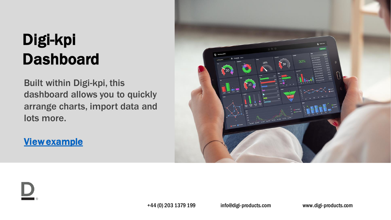### Digi-kpi Dashboard

Built within Digi-kpi, this dashboard allows you to quickly arrange charts, import data and lots more.

### [View example](https://www.digi-kpi.com/d/dashboardKC)

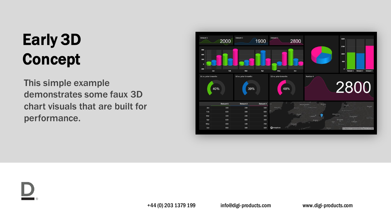## Early 3D Concept

This simple example demonstrates some faux 3D chart visuals that are built for performance.



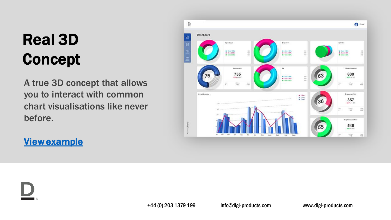## Real 3D Concept

A true 3D concept that allows you to interact with common chart visualisations like never before.

### [View example](https://www.digi-kpi.com/3d/)



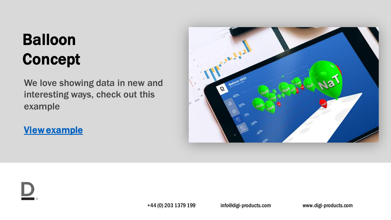### Balloon Concept

We love showing data in new and interesting ways, check out this example

[View example](https://www.digi-kpi.com/3d/page3_tester.asp) 



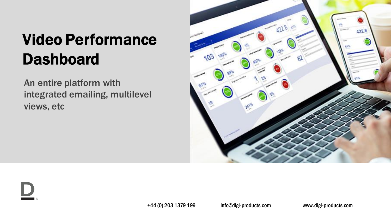### Video Performance Dashboard

An entire platform with integrated emailing, multilevel views, etc



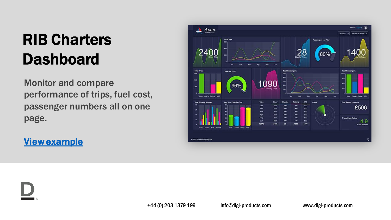### RIB Charters **Dashboard**

Monitor and compare performance of trips, fuel cost, passenger numbers all on one page.

### [View example](https://www.digi-kpi.com/avon/)



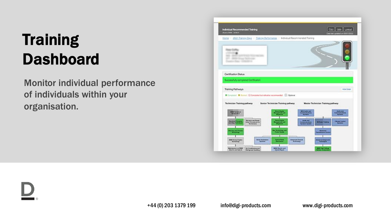### **Training** Dashboard

Monitor individual performance of individuals within your organisation.

| Individual Recommended Training<br><b>Morris WAN INSIGHT</b>                                                                 |                                           |                                         |                                    | Print   Hote   Looput<br>Data last updated on 05/01/2022 |
|------------------------------------------------------------------------------------------------------------------------------|-------------------------------------------|-----------------------------------------|------------------------------------|----------------------------------------------------------|
| Home   2021 Training Days   Training Reformance   Individual Recommended Training                                            |                                           |                                         |                                    |                                                          |
| <b>SEARCH GLOUP TRANSVERSE</b><br>Alley Robert Committee of                                                                  |                                           |                                         |                                    |                                                          |
| Certification Status<br>Successfully completed Certification                                                                 |                                           |                                         |                                    |                                                          |
|                                                                                                                              |                                           |                                         |                                    |                                                          |
| Training Pathways                                                                                                            |                                           |                                         |                                    | Hole Detail                                              |
| <b>B</b> Completed <b>B</b> Rootest ChCompleted Schedmanns recommended EL Codonal                                            |                                           |                                         |                                    |                                                          |
| Technician Training pathway                                                                                                  | Senior Technician Training pathway        |                                         | Master Technician Training pathway |                                                          |
| <b>END To Noted</b><br><b><i><u>ESSENTE</u></i></b>                                                                          | --                                        |                                         |                                    |                                                          |
| <b>Warranty and Roach</b><br><b>Colorado Professor Andre</b><br>Online Procedures for<br>and Ding Tach<br><b>Scillablene</b> | <b>TANK</b><br>---                        |                                         | <b>Milliane Stewarts</b>           | Clinum Control                                           |
| <b>THE CAR</b>                                                                                                               | Pan Section Separate<br>The most designed |                                         | Electricity<br>wise Card           |                                                          |
| ----<br><b>Driver Assistance</b><br><b>BROK Group Craftre</b><br><b>Rystans</b><br><b>Sechaeology</b>                        | <b>Contractor</b>                         | <b>Advertised Chessin</b><br>Technology | - 10                               |                                                          |
| Walterstown as Black<br>As Conditioning and                                                                                  | <b>BINK Electric and</b>                  |                                         | <b>See Publicate</b>               |                                                          |